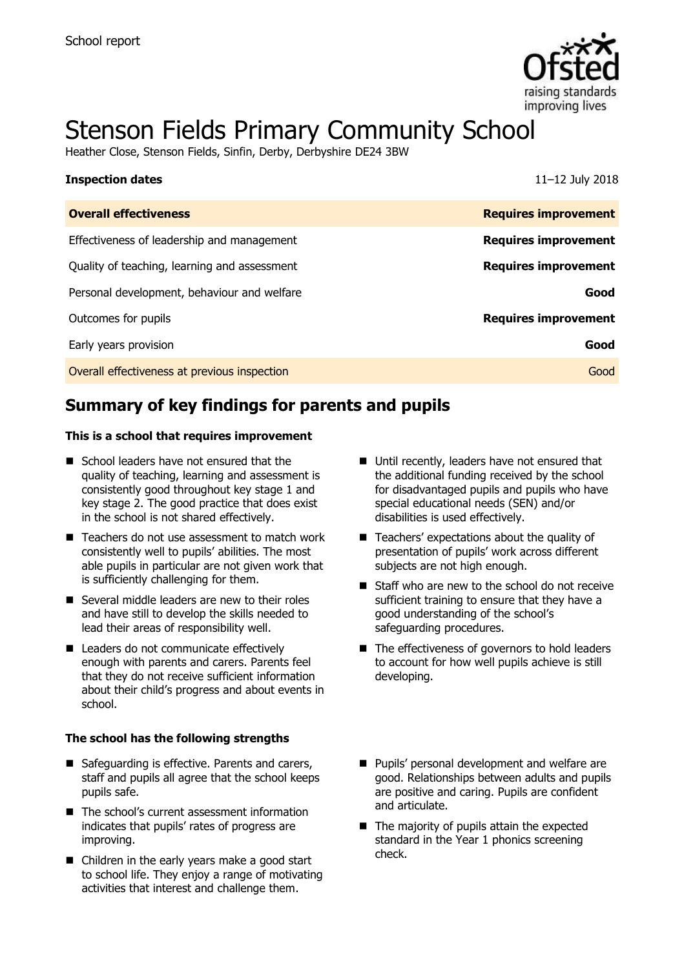

# Stenson Fields Primary Community School

Heather Close, Stenson Fields, Sinfin, Derby, Derbyshire DE24 3BW

| <b>Inspection dates</b>                      | $11 - 12$ July 2018         |
|----------------------------------------------|-----------------------------|
| <b>Overall effectiveness</b>                 | <b>Requires improvement</b> |
| Effectiveness of leadership and management   | <b>Requires improvement</b> |
| Quality of teaching, learning and assessment | <b>Requires improvement</b> |
| Personal development, behaviour and welfare  | Good                        |
| Outcomes for pupils                          | <b>Requires improvement</b> |
| Early years provision                        | Good                        |
| Overall effectiveness at previous inspection | Good                        |

# **Summary of key findings for parents and pupils**

#### **This is a school that requires improvement**

- School leaders have not ensured that the quality of teaching, learning and assessment is consistently good throughout key stage 1 and key stage 2. The good practice that does exist in the school is not shared effectively.
- Teachers do not use assessment to match work consistently well to pupils' abilities. The most able pupils in particular are not given work that is sufficiently challenging for them.
- Several middle leaders are new to their roles and have still to develop the skills needed to lead their areas of responsibility well.
- Leaders do not communicate effectively enough with parents and carers. Parents feel that they do not receive sufficient information about their child's progress and about events in school.

#### **The school has the following strengths**

- Safeguarding is effective. Parents and carers, staff and pupils all agree that the school keeps pupils safe.
- The school's current assessment information indicates that pupils' rates of progress are improving.
- Children in the early years make a good start to school life. They enjoy a range of motivating activities that interest and challenge them.
- Until recently, leaders have not ensured that the additional funding received by the school for disadvantaged pupils and pupils who have special educational needs (SEN) and/or disabilities is used effectively.
- Teachers' expectations about the quality of presentation of pupils' work across different subjects are not high enough.
- Staff who are new to the school do not receive sufficient training to ensure that they have a good understanding of the school's safeguarding procedures.
- The effectiveness of governors to hold leaders to account for how well pupils achieve is still developing.
- **Pupils' personal development and welfare are** good. Relationships between adults and pupils are positive and caring. Pupils are confident and articulate.
- $\blacksquare$  The majority of pupils attain the expected standard in the Year 1 phonics screening check.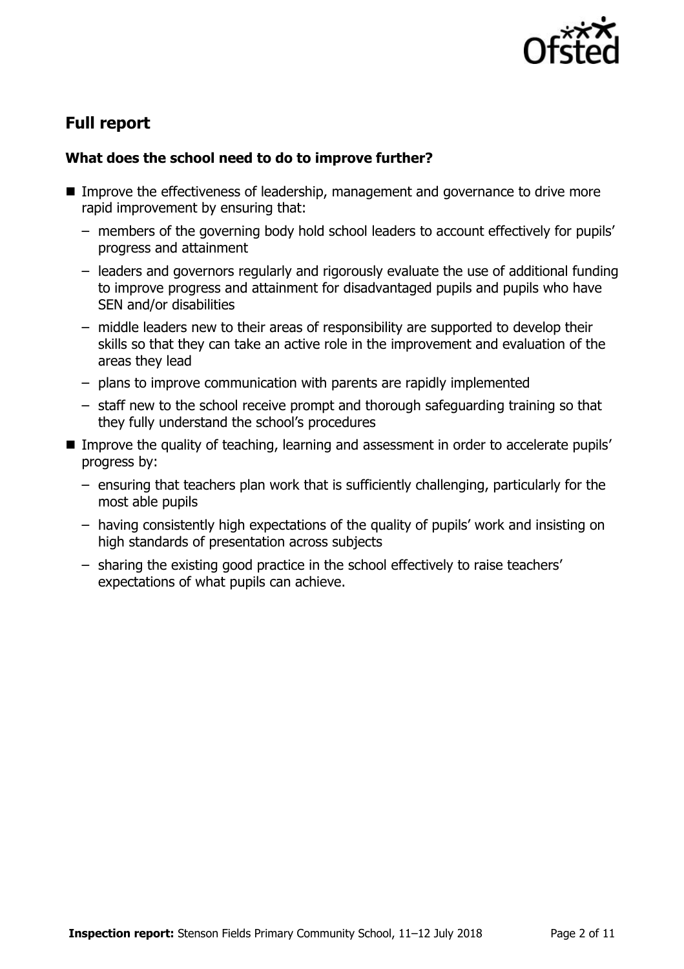

# **Full report**

#### **What does the school need to do to improve further?**

- Improve the effectiveness of leadership, management and governance to drive more rapid improvement by ensuring that:
	- members of the governing body hold school leaders to account effectively for pupils' progress and attainment
	- leaders and governors regularly and rigorously evaluate the use of additional funding to improve progress and attainment for disadvantaged pupils and pupils who have SEN and/or disabilities
	- middle leaders new to their areas of responsibility are supported to develop their skills so that they can take an active role in the improvement and evaluation of the areas they lead
	- plans to improve communication with parents are rapidly implemented
	- staff new to the school receive prompt and thorough safeguarding training so that they fully understand the school's procedures
- Improve the quality of teaching, learning and assessment in order to accelerate pupils' progress by:
	- ensuring that teachers plan work that is sufficiently challenging, particularly for the most able pupils
	- having consistently high expectations of the quality of pupils' work and insisting on high standards of presentation across subjects
	- sharing the existing good practice in the school effectively to raise teachers' expectations of what pupils can achieve.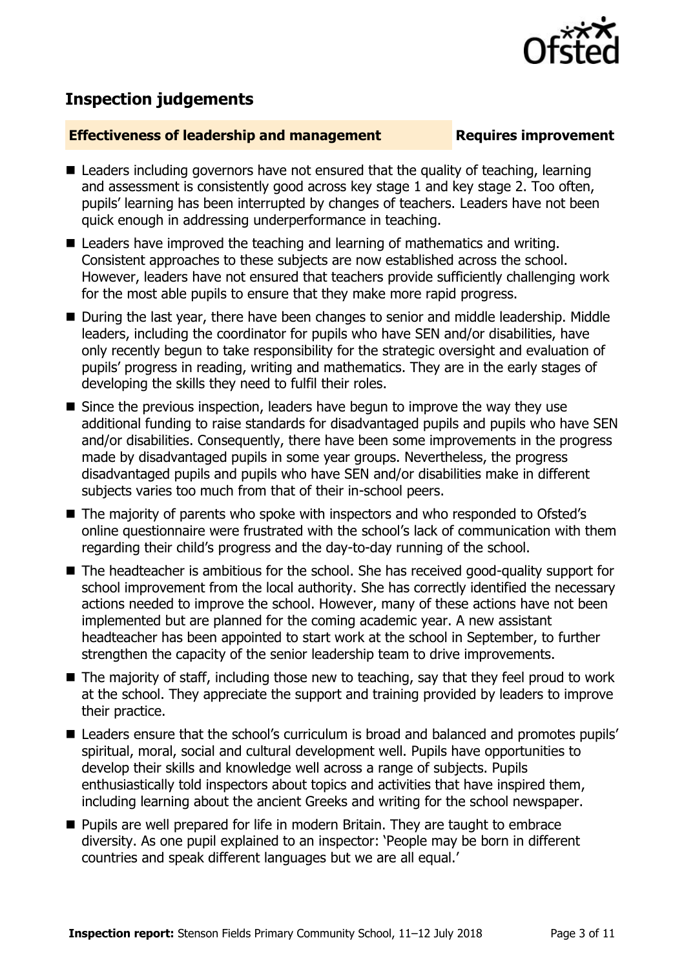

# **Inspection judgements**

#### **Effectiveness of leadership and management Requires improvement**

- Leaders including governors have not ensured that the quality of teaching, learning and assessment is consistently good across key stage 1 and key stage 2. Too often, pupils' learning has been interrupted by changes of teachers. Leaders have not been quick enough in addressing underperformance in teaching.
- Leaders have improved the teaching and learning of mathematics and writing. Consistent approaches to these subjects are now established across the school. However, leaders have not ensured that teachers provide sufficiently challenging work for the most able pupils to ensure that they make more rapid progress.
- During the last year, there have been changes to senior and middle leadership. Middle leaders, including the coordinator for pupils who have SEN and/or disabilities, have only recently begun to take responsibility for the strategic oversight and evaluation of pupils' progress in reading, writing and mathematics. They are in the early stages of developing the skills they need to fulfil their roles.
- Since the previous inspection, leaders have begun to improve the way they use additional funding to raise standards for disadvantaged pupils and pupils who have SEN and/or disabilities. Consequently, there have been some improvements in the progress made by disadvantaged pupils in some year groups. Nevertheless, the progress disadvantaged pupils and pupils who have SEN and/or disabilities make in different subjects varies too much from that of their in-school peers.
- The majority of parents who spoke with inspectors and who responded to Ofsted's online questionnaire were frustrated with the school's lack of communication with them regarding their child's progress and the day-to-day running of the school.
- The headteacher is ambitious for the school. She has received good-quality support for school improvement from the local authority. She has correctly identified the necessary actions needed to improve the school. However, many of these actions have not been implemented but are planned for the coming academic year. A new assistant headteacher has been appointed to start work at the school in September, to further strengthen the capacity of the senior leadership team to drive improvements.
- The majority of staff, including those new to teaching, say that they feel proud to work at the school. They appreciate the support and training provided by leaders to improve their practice.
- Leaders ensure that the school's curriculum is broad and balanced and promotes pupils' spiritual, moral, social and cultural development well. Pupils have opportunities to develop their skills and knowledge well across a range of subjects. Pupils enthusiastically told inspectors about topics and activities that have inspired them, including learning about the ancient Greeks and writing for the school newspaper.
- **Pupils are well prepared for life in modern Britain. They are taught to embrace** diversity. As one pupil explained to an inspector: 'People may be born in different countries and speak different languages but we are all equal.'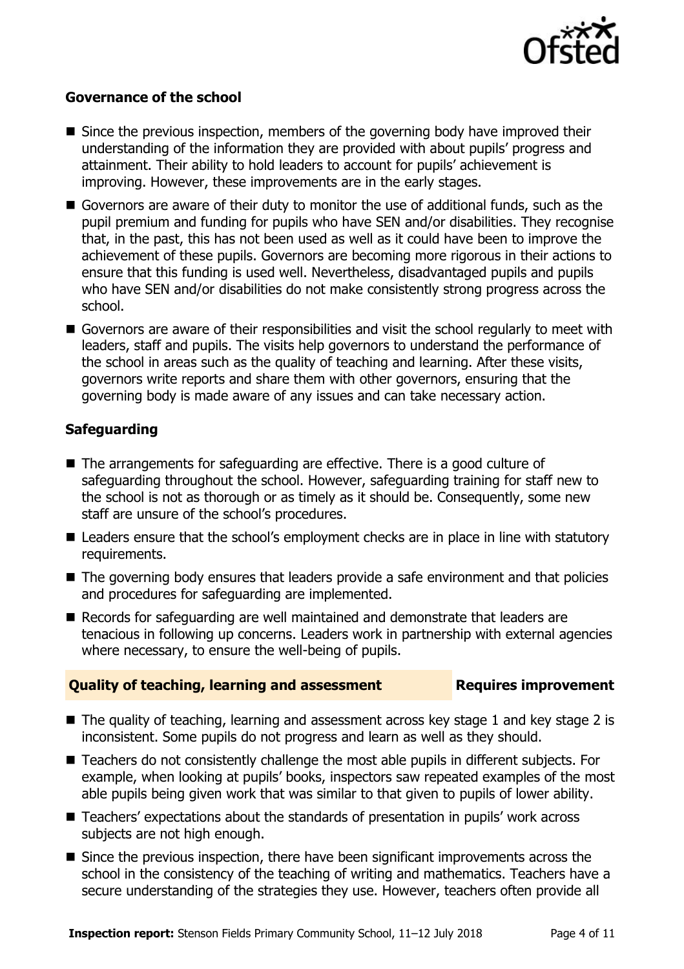

#### **Governance of the school**

- Since the previous inspection, members of the governing body have improved their understanding of the information they are provided with about pupils' progress and attainment. Their ability to hold leaders to account for pupils' achievement is improving. However, these improvements are in the early stages.
- Governors are aware of their duty to monitor the use of additional funds, such as the pupil premium and funding for pupils who have SEN and/or disabilities. They recognise that, in the past, this has not been used as well as it could have been to improve the achievement of these pupils. Governors are becoming more rigorous in their actions to ensure that this funding is used well. Nevertheless, disadvantaged pupils and pupils who have SEN and/or disabilities do not make consistently strong progress across the school.
- Governors are aware of their responsibilities and visit the school regularly to meet with leaders, staff and pupils. The visits help governors to understand the performance of the school in areas such as the quality of teaching and learning. After these visits, governors write reports and share them with other governors, ensuring that the governing body is made aware of any issues and can take necessary action.

### **Safeguarding**

- The arrangements for safeguarding are effective. There is a good culture of safeguarding throughout the school. However, safeguarding training for staff new to the school is not as thorough or as timely as it should be. Consequently, some new staff are unsure of the school's procedures.
- Leaders ensure that the school's employment checks are in place in line with statutory requirements.
- The governing body ensures that leaders provide a safe environment and that policies and procedures for safeguarding are implemented.
- Records for safeguarding are well maintained and demonstrate that leaders are tenacious in following up concerns. Leaders work in partnership with external agencies where necessary, to ensure the well-being of pupils.

#### **Quality of teaching, learning and assessment Requires improvement**

- The quality of teaching, learning and assessment across key stage 1 and key stage 2 is inconsistent. Some pupils do not progress and learn as well as they should.
- Teachers do not consistently challenge the most able pupils in different subjects. For example, when looking at pupils' books, inspectors saw repeated examples of the most able pupils being given work that was similar to that given to pupils of lower ability.
- Teachers' expectations about the standards of presentation in pupils' work across subjects are not high enough.
- Since the previous inspection, there have been significant improvements across the school in the consistency of the teaching of writing and mathematics. Teachers have a secure understanding of the strategies they use. However, teachers often provide all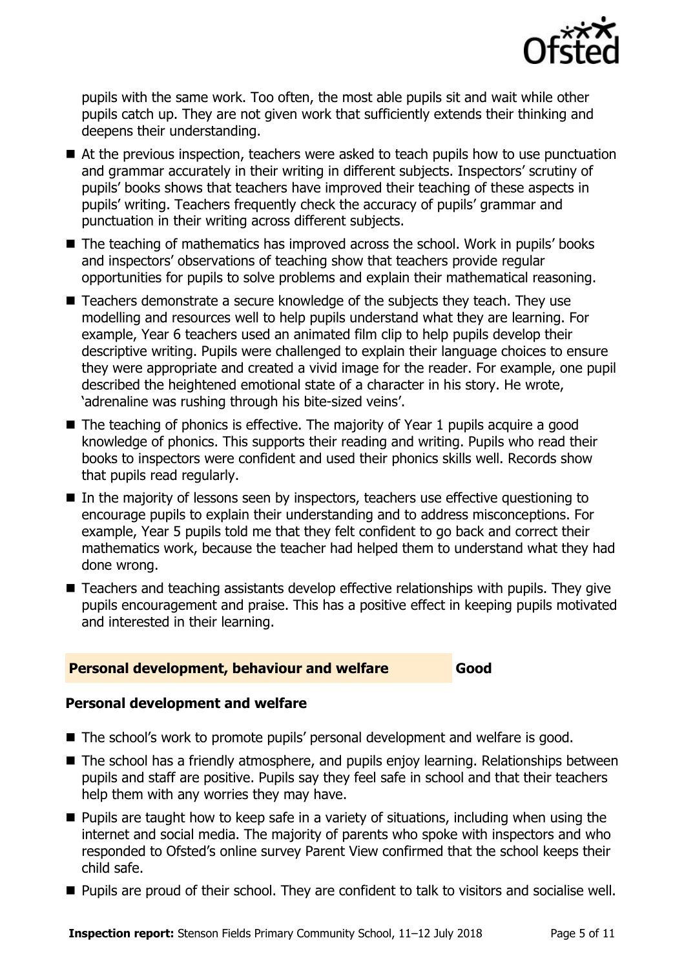

pupils with the same work. Too often, the most able pupils sit and wait while other pupils catch up. They are not given work that sufficiently extends their thinking and deepens their understanding.

- At the previous inspection, teachers were asked to teach pupils how to use punctuation and grammar accurately in their writing in different subjects. Inspectors' scrutiny of pupils' books shows that teachers have improved their teaching of these aspects in pupils' writing. Teachers frequently check the accuracy of pupils' grammar and punctuation in their writing across different subjects.
- The teaching of mathematics has improved across the school. Work in pupils' books and inspectors' observations of teaching show that teachers provide regular opportunities for pupils to solve problems and explain their mathematical reasoning.
- Teachers demonstrate a secure knowledge of the subjects they teach. They use modelling and resources well to help pupils understand what they are learning. For example, Year 6 teachers used an animated film clip to help pupils develop their descriptive writing. Pupils were challenged to explain their language choices to ensure they were appropriate and created a vivid image for the reader. For example, one pupil described the heightened emotional state of a character in his story. He wrote, 'adrenaline was rushing through his bite-sized veins'.
- $\blacksquare$  The teaching of phonics is effective. The majority of Year 1 pupils acquire a good knowledge of phonics. This supports their reading and writing. Pupils who read their books to inspectors were confident and used their phonics skills well. Records show that pupils read regularly.
- In the majority of lessons seen by inspectors, teachers use effective questioning to encourage pupils to explain their understanding and to address misconceptions. For example, Year 5 pupils told me that they felt confident to go back and correct their mathematics work, because the teacher had helped them to understand what they had done wrong.
- Teachers and teaching assistants develop effective relationships with pupils. They give pupils encouragement and praise. This has a positive effect in keeping pupils motivated and interested in their learning.

#### **Personal development, behaviour and welfare Good**

### **Personal development and welfare**

- The school's work to promote pupils' personal development and welfare is good.
- The school has a friendly atmosphere, and pupils enjoy learning. Relationships between pupils and staff are positive. Pupils say they feel safe in school and that their teachers help them with any worries they may have.
- **Pupils are taught how to keep safe in a variety of situations, including when using the** internet and social media. The majority of parents who spoke with inspectors and who responded to Ofsted's online survey Parent View confirmed that the school keeps their child safe.
- **Pupils are proud of their school. They are confident to talk to visitors and socialise well.**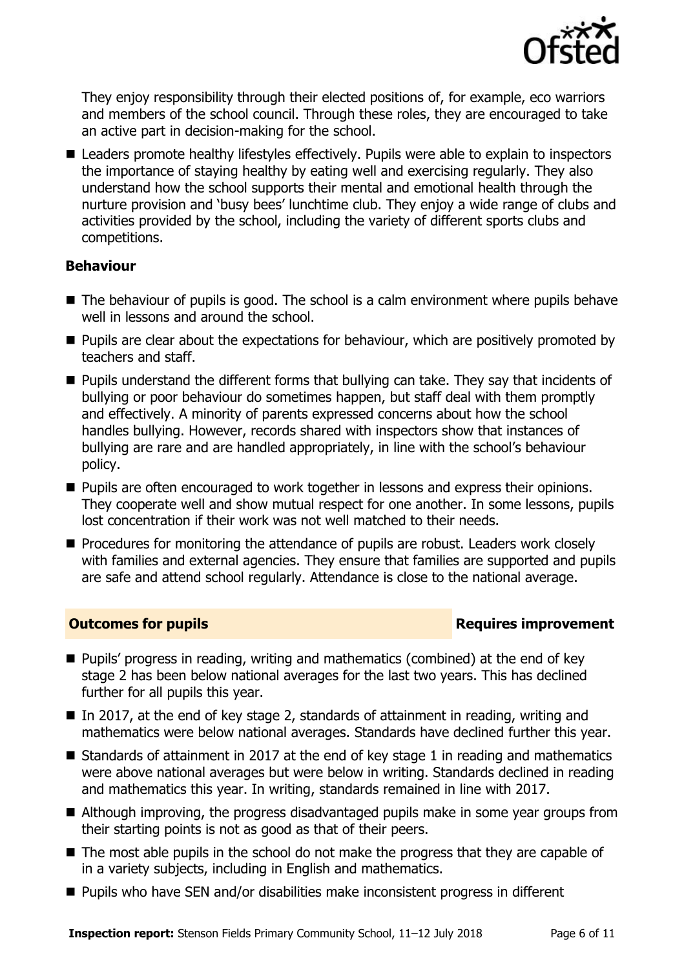

They enjoy responsibility through their elected positions of, for example, eco warriors and members of the school council. Through these roles, they are encouraged to take an active part in decision-making for the school.

■ Leaders promote healthy lifestyles effectively. Pupils were able to explain to inspectors the importance of staying healthy by eating well and exercising regularly. They also understand how the school supports their mental and emotional health through the nurture provision and 'busy bees' lunchtime club. They enjoy a wide range of clubs and activities provided by the school, including the variety of different sports clubs and competitions.

#### **Behaviour**

- The behaviour of pupils is good. The school is a calm environment where pupils behave well in lessons and around the school.
- **Pupils are clear about the expectations for behaviour, which are positively promoted by** teachers and staff.
- **Pupils understand the different forms that bullying can take. They say that incidents of** bullying or poor behaviour do sometimes happen, but staff deal with them promptly and effectively. A minority of parents expressed concerns about how the school handles bullying. However, records shared with inspectors show that instances of bullying are rare and are handled appropriately, in line with the school's behaviour policy.
- **Pupils are often encouraged to work together in lessons and express their opinions.** They cooperate well and show mutual respect for one another. In some lessons, pupils lost concentration if their work was not well matched to their needs.
- **Procedures for monitoring the attendance of pupils are robust. Leaders work closely** with families and external agencies. They ensure that families are supported and pupils are safe and attend school regularly. Attendance is close to the national average.

#### **Outcomes for pupils Requires improvement**

- Pupils' progress in reading, writing and mathematics (combined) at the end of key stage 2 has been below national averages for the last two years. This has declined further for all pupils this year.
- In 2017, at the end of key stage 2, standards of attainment in reading, writing and mathematics were below national averages. Standards have declined further this year.
- Standards of attainment in 2017 at the end of key stage 1 in reading and mathematics were above national averages but were below in writing. Standards declined in reading and mathematics this year. In writing, standards remained in line with 2017.
- Although improving, the progress disadvantaged pupils make in some year groups from their starting points is not as good as that of their peers.
- The most able pupils in the school do not make the progress that they are capable of in a variety subjects, including in English and mathematics.
- Pupils who have SEN and/or disabilities make inconsistent progress in different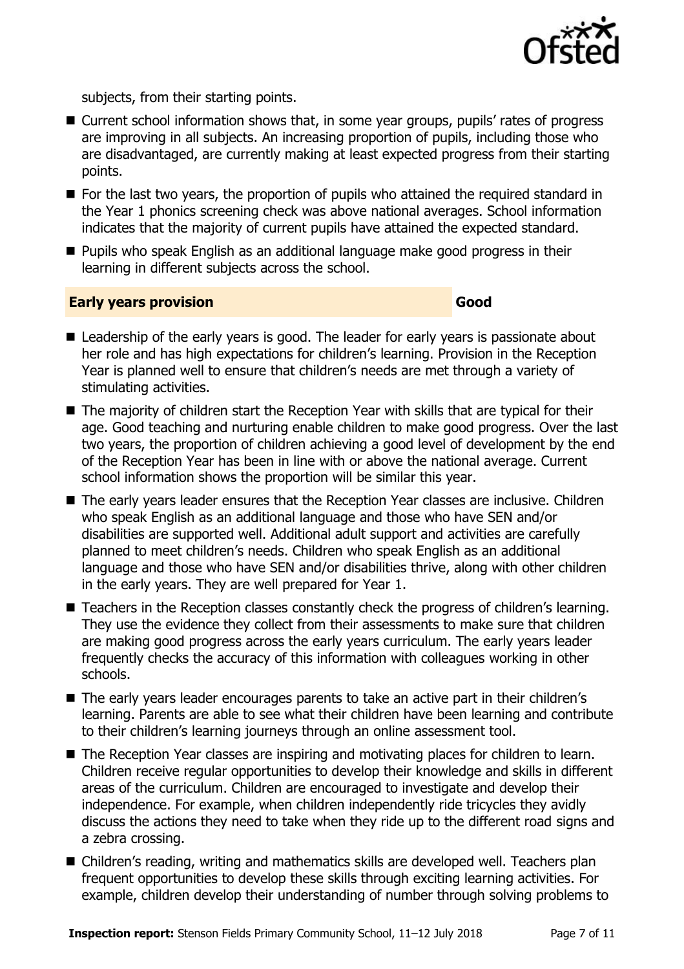

subjects, from their starting points.

- Current school information shows that, in some year groups, pupils' rates of progress are improving in all subjects. An increasing proportion of pupils, including those who are disadvantaged, are currently making at least expected progress from their starting points.
- For the last two years, the proportion of pupils who attained the required standard in the Year 1 phonics screening check was above national averages. School information indicates that the majority of current pupils have attained the expected standard.
- **Pupils who speak English as an additional language make good progress in their** learning in different subjects across the school.

#### **Early years provision Good Good**

- Leadership of the early years is good. The leader for early years is passionate about her role and has high expectations for children's learning. Provision in the Reception Year is planned well to ensure that children's needs are met through a variety of stimulating activities.
- The majority of children start the Reception Year with skills that are typical for their age. Good teaching and nurturing enable children to make good progress. Over the last two years, the proportion of children achieving a good level of development by the end of the Reception Year has been in line with or above the national average. Current school information shows the proportion will be similar this year.
- The early years leader ensures that the Reception Year classes are inclusive. Children who speak English as an additional language and those who have SEN and/or disabilities are supported well. Additional adult support and activities are carefully planned to meet children's needs. Children who speak English as an additional language and those who have SEN and/or disabilities thrive, along with other children in the early years. They are well prepared for Year 1.
- Teachers in the Reception classes constantly check the progress of children's learning. They use the evidence they collect from their assessments to make sure that children are making good progress across the early years curriculum. The early years leader frequently checks the accuracy of this information with colleagues working in other schools.
- The early years leader encourages parents to take an active part in their children's learning. Parents are able to see what their children have been learning and contribute to their children's learning journeys through an online assessment tool.
- The Reception Year classes are inspiring and motivating places for children to learn. Children receive regular opportunities to develop their knowledge and skills in different areas of the curriculum. Children are encouraged to investigate and develop their independence. For example, when children independently ride tricycles they avidly discuss the actions they need to take when they ride up to the different road signs and a zebra crossing.
- Children's reading, writing and mathematics skills are developed well. Teachers plan frequent opportunities to develop these skills through exciting learning activities. For example, children develop their understanding of number through solving problems to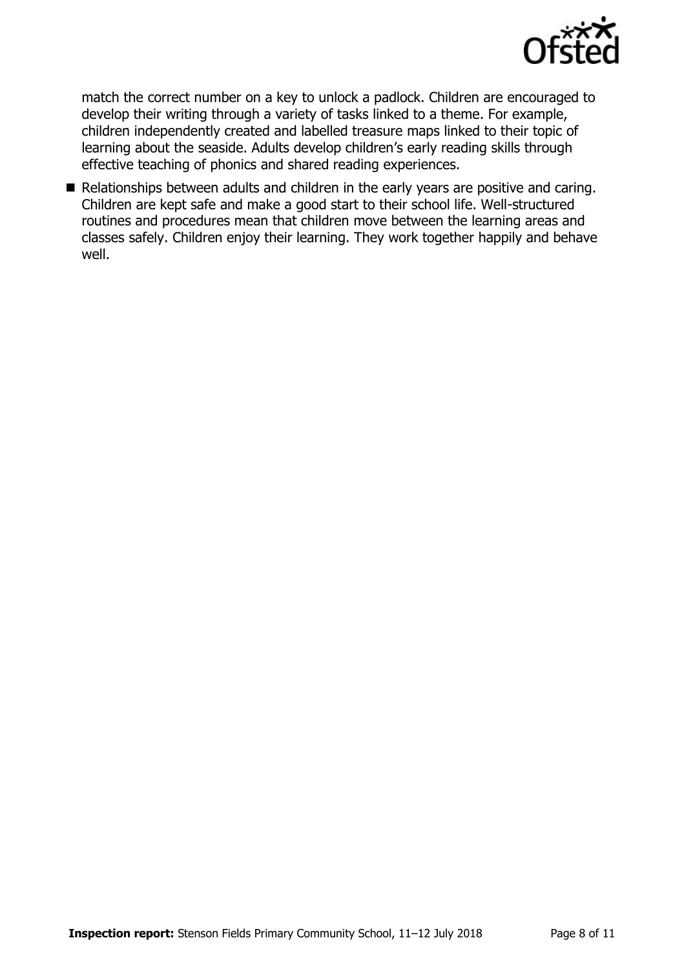

match the correct number on a key to unlock a padlock. Children are encouraged to develop their writing through a variety of tasks linked to a theme. For example, children independently created and labelled treasure maps linked to their topic of learning about the seaside. Adults develop children's early reading skills through effective teaching of phonics and shared reading experiences.

Relationships between adults and children in the early years are positive and caring. Children are kept safe and make a good start to their school life. Well-structured routines and procedures mean that children move between the learning areas and classes safely. Children enjoy their learning. They work together happily and behave well.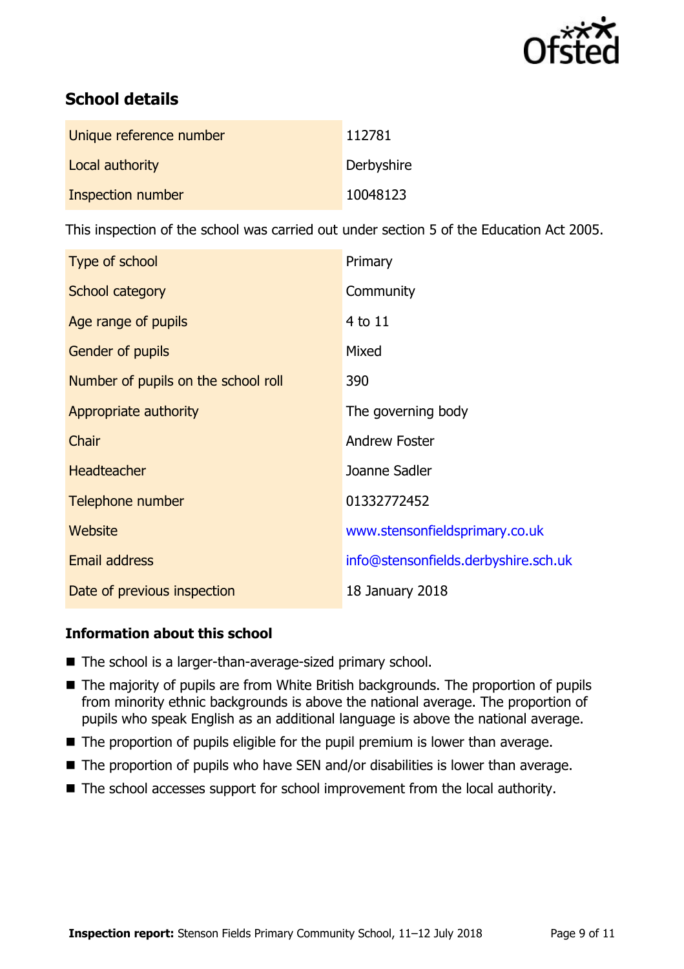

# **School details**

| Unique reference number | 112781     |
|-------------------------|------------|
| Local authority         | Derbyshire |
| Inspection number       | 10048123   |

This inspection of the school was carried out under section 5 of the Education Act 2005.

| Type of school                      | Primary                              |
|-------------------------------------|--------------------------------------|
| School category                     | Community                            |
| Age range of pupils                 | 4 to 11                              |
| <b>Gender of pupils</b>             | Mixed                                |
| Number of pupils on the school roll | 390                                  |
| Appropriate authority               | The governing body                   |
| Chair                               | <b>Andrew Foster</b>                 |
| <b>Headteacher</b>                  | Joanne Sadler                        |
| Telephone number                    | 01332772452                          |
| Website                             | www.stensonfieldsprimary.co.uk       |
| <b>Email address</b>                | info@stensonfields.derbyshire.sch.uk |
| Date of previous inspection         | 18 January 2018                      |

### **Information about this school**

- The school is a larger-than-average-sized primary school.
- The majority of pupils are from White British backgrounds. The proportion of pupils from minority ethnic backgrounds is above the national average. The proportion of pupils who speak English as an additional language is above the national average.
- The proportion of pupils eligible for the pupil premium is lower than average.
- $\blacksquare$  The proportion of pupils who have SEN and/or disabilities is lower than average.
- The school accesses support for school improvement from the local authority.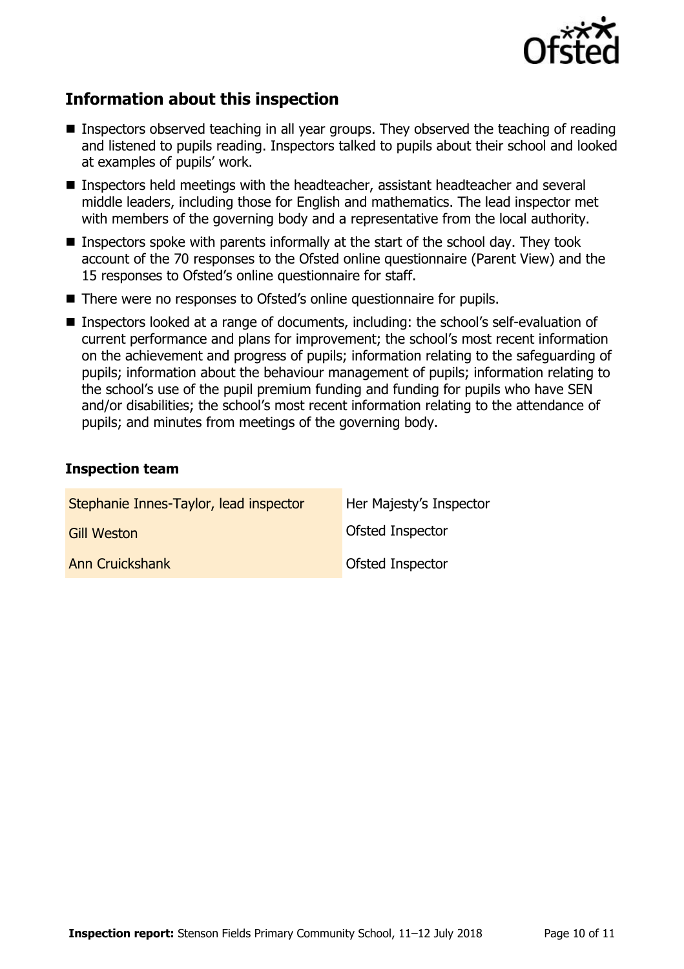

# **Information about this inspection**

- Inspectors observed teaching in all year groups. They observed the teaching of reading and listened to pupils reading. Inspectors talked to pupils about their school and looked at examples of pupils' work.
- Inspectors held meetings with the headteacher, assistant headteacher and several middle leaders, including those for English and mathematics. The lead inspector met with members of the governing body and a representative from the local authority.
- **Inspectors spoke with parents informally at the start of the school day. They took** account of the 70 responses to the Ofsted online questionnaire (Parent View) and the 15 responses to Ofsted's online questionnaire for staff.
- There were no responses to Ofsted's online questionnaire for pupils.
- Inspectors looked at a range of documents, including: the school's self-evaluation of current performance and plans for improvement; the school's most recent information on the achievement and progress of pupils; information relating to the safeguarding of pupils; information about the behaviour management of pupils; information relating to the school's use of the pupil premium funding and funding for pupils who have SEN and/or disabilities; the school's most recent information relating to the attendance of pupils; and minutes from meetings of the governing body.

#### **Inspection team**

| Stephanie Innes-Taylor, lead inspector | Her Majesty's Inspector |
|----------------------------------------|-------------------------|
| <b>Gill Weston</b>                     | Ofsted Inspector        |
| <b>Ann Cruickshank</b>                 | Ofsted Inspector        |